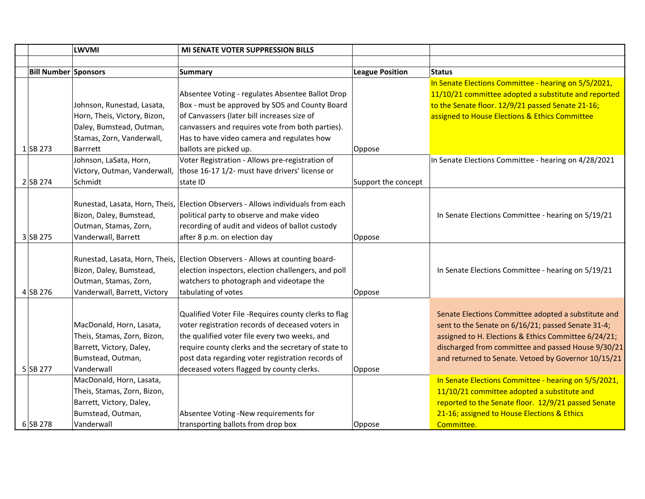|                             | <b>LWVMI</b>                 | <b>MI SENATE VOTER SUPPRESSION BILLS</b>                                         |                        |                                                      |
|-----------------------------|------------------------------|----------------------------------------------------------------------------------|------------------------|------------------------------------------------------|
|                             |                              |                                                                                  |                        |                                                      |
| <b>Bill Number Sponsors</b> |                              | <b>Summary</b>                                                                   | <b>League Position</b> | <b>Status</b>                                        |
|                             |                              |                                                                                  |                        | In Senate Elections Committee - hearing on 5/5/2021, |
|                             |                              | Absentee Voting - regulates Absentee Ballot Drop                                 |                        | 11/10/21 committee adopted a substitute and reported |
|                             | Johnson, Runestad, Lasata,   | Box - must be approved by SOS and County Board                                   |                        | to the Senate floor. 12/9/21 passed Senate 21-16;    |
|                             | Horn, Theis, Victory, Bizon, | of Canvassers (later bill increases size of                                      |                        | assigned to House Elections & Ethics Committee       |
|                             | Daley, Bumstead, Outman,     | canvassers and requires vote from both parties).                                 |                        |                                                      |
|                             | Stamas, Zorn, Vanderwall,    | Has to have video camera and regulates how                                       |                        |                                                      |
| $1$ SB 273                  | Barrrett                     | ballots are picked up.                                                           | Oppose                 |                                                      |
|                             | Johnson, LaSata, Horn,       | Voter Registration - Allows pre-registration of                                  |                        | In Senate Elections Committee - hearing on 4/28/2021 |
|                             | Victory, Outman, Vanderwall, | those 16-17 1/2- must have drivers' license or                                   |                        |                                                      |
| 2 SB 274                    | Schmidt                      | state ID                                                                         | Support the concept    |                                                      |
|                             |                              |                                                                                  |                        |                                                      |
|                             |                              | Runestad, Lasata, Horn, Theis, Election Observers - Allows individuals from each |                        |                                                      |
|                             | Bizon, Daley, Bumstead,      | political party to observe and make video                                        |                        | In Senate Elections Committee - hearing on 5/19/21   |
|                             | Outman, Stamas, Zorn,        | recording of audit and videos of ballot custody                                  |                        |                                                      |
| 3 SB 275                    | Vanderwall, Barrett          | after 8 p.m. on election day                                                     | Oppose                 |                                                      |
|                             |                              |                                                                                  |                        |                                                      |
|                             |                              | Runestad, Lasata, Horn, Theis, Election Observers - Allows at counting board-    |                        |                                                      |
|                             | Bizon, Daley, Bumstead,      | election inspectors, election challengers, and poll                              |                        | In Senate Elections Committee - hearing on 5/19/21   |
|                             | Outman, Stamas, Zorn,        | watchers to photograph and videotape the                                         |                        |                                                      |
| $4$ SB 276                  | Vanderwall, Barrett, Victory | tabulating of votes                                                              | Oppose                 |                                                      |
|                             |                              |                                                                                  |                        |                                                      |
|                             |                              | Qualified Voter File -Requires county clerks to flag                             |                        | Senate Elections Committee adopted a substitute and  |
|                             | MacDonald, Horn, Lasata,     | voter registration records of deceased voters in                                 |                        | sent to the Senate on 6/16/21; passed Senate 31-4;   |
|                             | Theis, Stamas, Zorn, Bizon,  | the qualified voter file every two weeks, and                                    |                        | assigned to H. Elections & Ethics Committee 6/24/21; |
|                             | Barrett, Victory, Daley,     | require county clerks and the secretary of state to                              |                        | discharged from committee and passed House 9/30/21   |
|                             | Bumstead, Outman,            | post data regarding voter registration records of                                |                        | and returned to Senate. Vetoed by Governor 10/15/21  |
| 5 SB 277                    | Vanderwall                   | deceased voters flagged by county clerks.                                        | Oppose                 |                                                      |
|                             | MacDonald, Horn, Lasata,     |                                                                                  |                        | In Senate Elections Committee - hearing on 5/5/2021, |
|                             | Theis, Stamas, Zorn, Bizon,  |                                                                                  |                        | 11/10/21 committee adopted a substitute and          |
|                             | Barrett, Victory, Daley,     |                                                                                  |                        | reported to the Senate floor. 12/9/21 passed Senate  |
|                             | Bumstead, Outman,            | Absentee Voting -New requirements for                                            |                        | 21-16; assigned to House Elections & Ethics          |
| $6$ SB 278                  | Vanderwall                   | transporting ballots from drop box                                               | Oppose                 | Committee.                                           |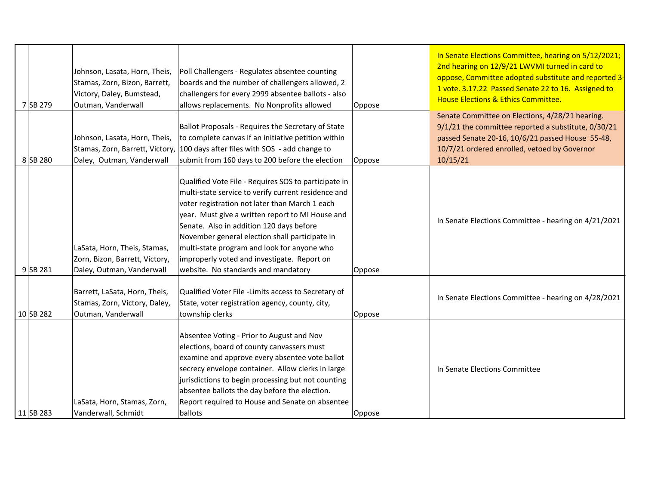| 7 SB 279    | Johnson, Lasata, Horn, Theis,<br>Stamas, Zorn, Bizon, Barrett,<br>Victory, Daley, Bumstead,<br>Outman, Vanderwall | Poll Challengers - Regulates absentee counting<br>boards and the number of challengers allowed, 2<br>challengers for every 2999 absentee ballots - also<br>allows replacements. No Nonprofits allowed                                                                                                                                                                                                                                                | Oppose | In Senate Elections Committee, hearing on 5/12/2021;<br>2nd hearing on 12/9/21 LWVMI turned in card to<br>oppose, Committee adopted substitute and reported 3-<br>1 vote. 3.17.22 Passed Senate 22 to 16. Assigned to<br>House Elections & Ethics Committee. |
|-------------|-------------------------------------------------------------------------------------------------------------------|------------------------------------------------------------------------------------------------------------------------------------------------------------------------------------------------------------------------------------------------------------------------------------------------------------------------------------------------------------------------------------------------------------------------------------------------------|--------|--------------------------------------------------------------------------------------------------------------------------------------------------------------------------------------------------------------------------------------------------------------|
| 8 SB 280    | Johnson, Lasata, Horn, Theis,<br>Stamas, Zorn, Barrett, Victory,<br>Daley, Outman, Vanderwall                     | Ballot Proposals - Requires the Secretary of State<br>to complete canvas if an initiative petition within<br>100 days after files with SOS - add change to<br>submit from 160 days to 200 before the election                                                                                                                                                                                                                                        | Oppose | Senate Committee on Elections, 4/28/21 hearing.<br>9/1/21 the committee reported a substitute, 0/30/21<br>passed Senate 20-16, 10/6/21 passed House 55-48,<br>10/7/21 ordered enrolled, vetoed by Governor<br>10/15/21                                       |
| $9$ SB 281  | LaSata, Horn, Theis, Stamas,<br>Zorn, Bizon, Barrett, Victory,<br>Daley, Outman, Vanderwall                       | Qualified Vote File - Requires SOS to participate in<br>multi-state service to verify current residence and<br>voter registration not later than March 1 each<br>year. Must give a written report to MI House and<br>Senate. Also in addition 120 days before<br>November general election shall participate in<br>multi-state program and look for anyone who<br>improperly voted and investigate. Report on<br>website. No standards and mandatory | Oppose | In Senate Elections Committee - hearing on 4/21/2021                                                                                                                                                                                                         |
| $10$ SB 282 | Barrett, LaSata, Horn, Theis,<br>Stamas, Zorn, Victory, Daley,<br>Outman, Vanderwall                              | Qualified Voter File -Limits access to Secretary of<br>State, voter registration agency, county, city,<br>township clerks                                                                                                                                                                                                                                                                                                                            | Oppose | In Senate Elections Committee - hearing on 4/28/2021                                                                                                                                                                                                         |
| $11$ SB 283 | LaSata, Horn, Stamas, Zorn,<br>Vanderwall, Schmidt                                                                | Absentee Voting - Prior to August and Nov<br>elections, board of county canvassers must<br>examine and approve every absentee vote ballot<br>secrecy envelope container. Allow clerks in large<br>jurisdictions to begin processing but not counting<br>absentee ballots the day before the election.<br>Report required to House and Senate on absentee<br>ballots                                                                                  | Oppose | In Senate Elections Committee                                                                                                                                                                                                                                |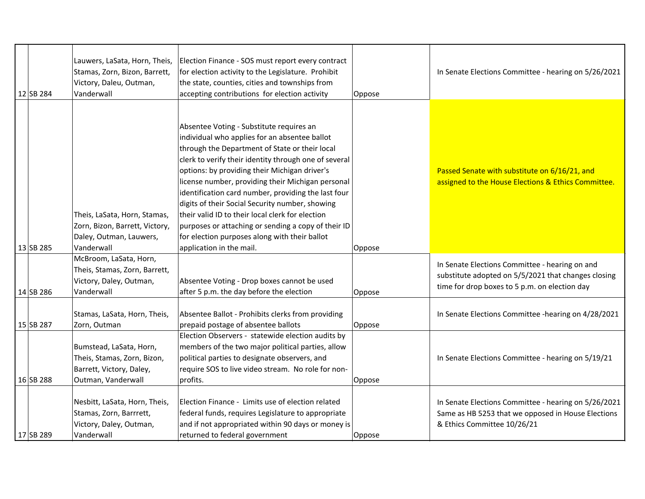| 12 SB 284 | Lauwers, LaSata, Horn, Theis,<br>Stamas, Zorn, Bizon, Barrett,<br>Victory, Daleu, Outman,<br>Vanderwall  | Election Finance - SOS must report every contract<br>for election activity to the Legislature. Prohibit<br>the state, counties, cities and townships from<br>accepting contributions for election activity                                                                                                                                                                                                                                                                                                                                                                                                   | Oppose | In Senate Elections Committee - hearing on 5/26/2021                                                                                                   |
|-----------|----------------------------------------------------------------------------------------------------------|--------------------------------------------------------------------------------------------------------------------------------------------------------------------------------------------------------------------------------------------------------------------------------------------------------------------------------------------------------------------------------------------------------------------------------------------------------------------------------------------------------------------------------------------------------------------------------------------------------------|--------|--------------------------------------------------------------------------------------------------------------------------------------------------------|
| 13 SB 285 | Theis, LaSata, Horn, Stamas,<br>Zorn, Bizon, Barrett, Victory,<br>Daley, Outman, Lauwers,<br>Vanderwall  | Absentee Voting - Substitute requires an<br>individual who applies for an absentee ballot<br>through the Department of State or their local<br>clerk to verify their identity through one of several<br>options: by providing their Michigan driver's<br>license number, providing their Michigan personal<br>identification card number, providing the last four<br>digits of their Social Security number, showing<br>their valid ID to their local clerk for election<br>purposes or attaching or sending a copy of their ID<br>for election purposes along with their ballot<br>application in the mail. | Oppose | Passed Senate with substitute on 6/16/21, and<br>assigned to the House Elections & Ethics Committee.                                                   |
| 14 SB 286 | McBroom, LaSata, Horn,<br>Theis, Stamas, Zorn, Barrett,<br>Victory, Daley, Outman,<br>Vanderwall         | Absentee Voting - Drop boxes cannot be used<br>after 5 p.m. the day before the election                                                                                                                                                                                                                                                                                                                                                                                                                                                                                                                      | Oppose | In Senate Elections Committee - hearing on and<br>substitute adopted on 5/5/2021 that changes closing<br>time for drop boxes to 5 p.m. on election day |
| 15 SB 287 | Stamas, LaSata, Horn, Theis,<br>Zorn, Outman                                                             | Absentee Ballot - Prohibits clerks from providing<br>prepaid postage of absentee ballots                                                                                                                                                                                                                                                                                                                                                                                                                                                                                                                     | Oppose | In Senate Elections Committee -hearing on 4/28/2021                                                                                                    |
| 16 SB 288 | Bumstead, LaSata, Horn,<br>Theis, Stamas, Zorn, Bizon,<br>Barrett, Victory, Daley,<br>Outman, Vanderwall | Election Observers - statewide election audits by<br>members of the two major political parties, allow<br>political parties to designate observers, and<br>require SOS to live video stream. No role for non-<br>profits.                                                                                                                                                                                                                                                                                                                                                                                    | Oppose | In Senate Elections Committee - hearing on 5/19/21                                                                                                     |
| 17 SB 289 | Nesbitt, LaSata, Horn, Theis,<br>Stamas, Zorn, Barrrett,<br>Victory, Daley, Outman,<br>Vanderwall        | Election Finance - Limits use of election related<br>federal funds, requires Legislature to appropriate<br>and if not appropriated within 90 days or money is<br>returned to federal government                                                                                                                                                                                                                                                                                                                                                                                                              | Oppose | In Senate Elections Committee - hearing on 5/26/2021<br>Same as HB 5253 that we opposed in House Elections<br>& Ethics Committee 10/26/21              |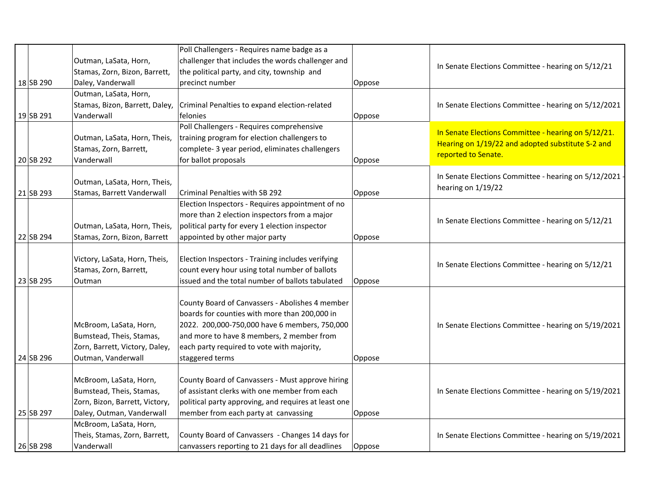|             |                                  | Poll Challengers - Requires name badge as a                                                        |        |                                                        |
|-------------|----------------------------------|----------------------------------------------------------------------------------------------------|--------|--------------------------------------------------------|
|             | Outman, LaSata, Horn,            | challenger that includes the words challenger and                                                  |        | In Senate Elections Committee - hearing on 5/12/21     |
|             | Stamas, Zorn, Bizon, Barrett,    | the political party, and city, township and                                                        |        |                                                        |
| 18 SB 290   | Daley, Vanderwall                | precinct number                                                                                    | Oppose |                                                        |
|             | Outman, LaSata, Horn,            |                                                                                                    |        |                                                        |
|             | Stamas, Bizon, Barrett, Daley,   | Criminal Penalties to expand election-related                                                      |        | In Senate Elections Committee - hearing on 5/12/2021   |
| 19SB 291    | Vanderwall                       | felonies                                                                                           | Oppose |                                                        |
|             |                                  | Poll Challengers - Requires comprehensive                                                          |        | In Senate Elections Committee - hearing on 5/12/21.    |
|             | Outman, LaSata, Horn, Theis,     | training program for election challengers to                                                       |        | Hearing on 1/19/22 and adopted substitute S-2 and      |
|             | Stamas, Zorn, Barrett,           | complete- 3 year period, eliminates challengers                                                    |        | reported to Senate.                                    |
| 20 SB 292   | Vanderwall                       | for ballot proposals                                                                               | Oppose |                                                        |
|             |                                  |                                                                                                    |        | In Senate Elections Committee - hearing on 5/12/2021 · |
|             | Outman, LaSata, Horn, Theis,     |                                                                                                    |        | hearing on 1/19/22                                     |
| $21$ SB 293 | Stamas, Barrett Vanderwall       | <b>Criminal Penalties with SB 292</b>                                                              | Oppose |                                                        |
|             |                                  | Election Inspectors - Requires appointment of no                                                   |        |                                                        |
|             |                                  | more than 2 election inspectors from a major                                                       |        | In Senate Elections Committee - hearing on 5/12/21     |
|             | Outman, LaSata, Horn, Theis,     | political party for every 1 election inspector                                                     |        |                                                        |
| 22 SB 294   | Stamas, Zorn, Bizon, Barrett     | appointed by other major party                                                                     | Oppose |                                                        |
|             |                                  |                                                                                                    |        |                                                        |
|             | Victory, LaSata, Horn, Theis,    | Election Inspectors - Training includes verifying                                                  |        | In Senate Elections Committee - hearing on 5/12/21     |
| 23 SB 295   | Stamas, Zorn, Barrett,<br>Outman | count every hour using total number of ballots<br>issued and the total number of ballots tabulated |        |                                                        |
|             |                                  |                                                                                                    | Oppose |                                                        |
|             |                                  | County Board of Canvassers - Abolishes 4 member                                                    |        |                                                        |
|             |                                  | boards for counties with more than 200,000 in                                                      |        |                                                        |
|             | McBroom, LaSata, Horn,           | 2022. 200,000-750,000 have 6 members, 750,000                                                      |        | In Senate Elections Committee - hearing on 5/19/2021   |
|             | Bumstead, Theis, Stamas,         | and more to have 8 members, 2 member from                                                          |        |                                                        |
|             | Zorn, Barrett, Victory, Daley,   | each party required to vote with majority,                                                         |        |                                                        |
| 24 SB 296   | Outman, Vanderwall               | staggered terms                                                                                    | Oppose |                                                        |
|             |                                  |                                                                                                    |        |                                                        |
|             | McBroom, LaSata, Horn,           | County Board of Canvassers - Must approve hiring                                                   |        |                                                        |
|             | Bumstead, Theis, Stamas,         | of assistant clerks with one member from each                                                      |        | In Senate Elections Committee - hearing on 5/19/2021   |
|             | Zorn, Bizon, Barrett, Victory,   | political party approving, and requires at least one                                               |        |                                                        |
| 25 SB 297   | Daley, Outman, Vanderwall        | member from each party at canvassing                                                               | Oppose |                                                        |
|             | McBroom, LaSata, Horn,           |                                                                                                    |        |                                                        |
|             | Theis, Stamas, Zorn, Barrett,    | County Board of Canvassers - Changes 14 days for                                                   |        | In Senate Elections Committee - hearing on 5/19/2021   |
| 26 SB 298   | Vanderwall                       | canvassers reporting to 21 days for all deadlines                                                  | Oppose |                                                        |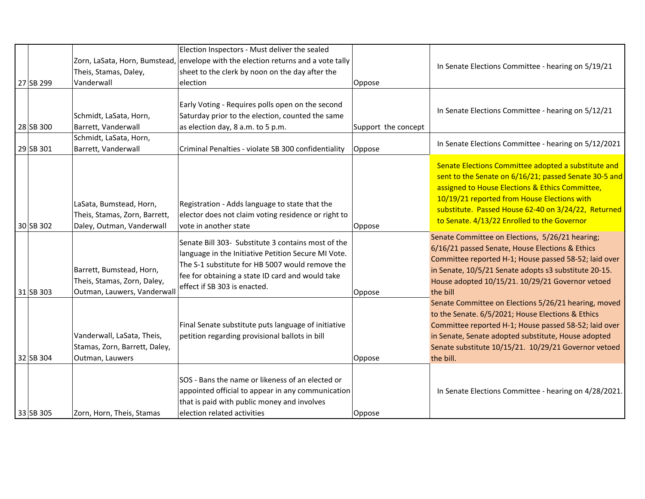| 27 SB 299   | Theis, Stamas, Daley,<br>Vanderwall                                                    | Election Inspectors - Must deliver the sealed<br>Zorn, LaSata, Horn, Bumstead, envelope with the election returns and a vote tally<br>sheet to the clerk by noon on the day after the<br>lelection                                               | Oppose              | In Senate Elections Committee - hearing on 5/19/21                                                                                                                                                                                                                                                                   |
|-------------|----------------------------------------------------------------------------------------|--------------------------------------------------------------------------------------------------------------------------------------------------------------------------------------------------------------------------------------------------|---------------------|----------------------------------------------------------------------------------------------------------------------------------------------------------------------------------------------------------------------------------------------------------------------------------------------------------------------|
| 28 SB 300   | Schmidt, LaSata, Horn,<br>Barrett, Vanderwall                                          | Early Voting - Requires polls open on the second<br>Saturday prior to the election, counted the same<br>as election day, 8 a.m. to 5 p.m.                                                                                                        | Support the concept | In Senate Elections Committee - hearing on 5/12/21                                                                                                                                                                                                                                                                   |
| 29 SB 301   | Schmidt, LaSata, Horn,<br>Barrett, Vanderwall                                          | Criminal Penalties - violate SB 300 confidentiality                                                                                                                                                                                              | Oppose              | In Senate Elections Committee - hearing on 5/12/2021                                                                                                                                                                                                                                                                 |
| 30 SB 302   | LaSata, Bumstead, Horn,<br>Theis, Stamas, Zorn, Barrett,<br>Daley, Outman, Vanderwall  | Registration - Adds language to state that the<br>elector does not claim voting residence or right to<br>vote in another state                                                                                                                   | Oppose              | Senate Elections Committee adopted a substitute and<br>sent to the Senate on 6/16/21; passed Senate 30-5 and<br>assigned to House Elections & Ethics Committee,<br>10/19/21 reported from House Elections with<br>substitute. Passed House 62-40 on 3/24/22, Returned<br>to Senate. 4/13/22 Enrolled to the Governor |
| $31$ SB 303 | Barrett, Bumstead, Horn,<br>Theis, Stamas, Zorn, Daley,<br>Outman, Lauwers, Vanderwall | Senate Bill 303- Substitute 3 contains most of the<br>language in the Initiative Petition Secure MI Vote.<br>The S-1 substitute for HB 5007 would remove the<br>fee for obtaining a state ID card and would take<br>effect if SB 303 is enacted. | Oppose              | Senate Committee on Elections, 5/26/21 hearing;<br>6/16/21 passed Senate, House Elections & Ethics<br>Committee reported H-1; House passed 58-52; laid over<br>in Senate, 10/5/21 Senate adopts s3 substitute 20-15.<br>House adopted 10/15/21. 10/29/21 Governor vetoed<br>the bill                                 |
| $32$ SB 304 | Vanderwall, LaSata, Theis,<br>Stamas, Zorn, Barrett, Daley,<br>Outman, Lauwers         | Final Senate substitute puts language of initiative<br>petition regarding provisional ballots in bill                                                                                                                                            | Oppose              | Senate Committee on Elections 5/26/21 hearing, moved<br>to the Senate. 6/5/2021; House Elections & Ethics<br>Committee reported H-1; House passed 58-52; laid over<br>in Senate, Senate adopted substitute, House adopted<br>Senate substitute 10/15/21. 10/29/21 Governor vetoed<br>the bill.                       |
| 33 SB 305   | Zorn, Horn, Theis, Stamas                                                              | SOS - Bans the name or likeness of an elected or<br>appointed official to appear in any communication<br>that is paid with public money and involves<br>election related activities                                                              | Oppose              | In Senate Elections Committee - hearing on 4/28/2021.                                                                                                                                                                                                                                                                |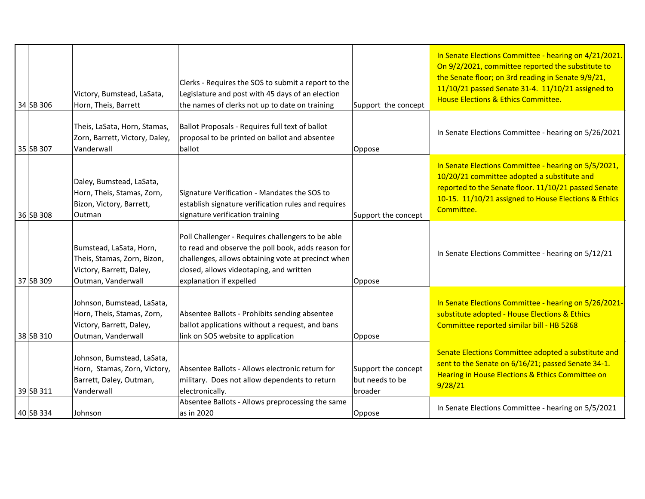| 34 SB 306 | Victory, Bumstead, LaSata,<br>Horn, Theis, Barrett                                                         | Clerks - Requires the SOS to submit a report to the<br>Legislature and post with 45 days of an election<br>the names of clerks not up to date on training                                                                           | Support the concept                                      | In Senate Elections Committee - hearing on 4/21/2021.<br>On 9/2/2021, committee reported the substitute to<br>the Senate floor; on 3rd reading in Senate 9/9/21,<br>11/10/21 passed Senate 31-4. 11/10/21 assigned to<br>House Elections & Ethics Committee. |
|-----------|------------------------------------------------------------------------------------------------------------|-------------------------------------------------------------------------------------------------------------------------------------------------------------------------------------------------------------------------------------|----------------------------------------------------------|--------------------------------------------------------------------------------------------------------------------------------------------------------------------------------------------------------------------------------------------------------------|
| 35 SB 307 | Theis, LaSata, Horn, Stamas,<br>Zorn, Barrett, Victory, Daley,<br>Vanderwall                               | Ballot Proposals - Requires full text of ballot<br>proposal to be printed on ballot and absentee<br>ballot                                                                                                                          | Oppose                                                   | In Senate Elections Committee - hearing on 5/26/2021                                                                                                                                                                                                         |
| 36 SB 308 | Daley, Bumstead, LaSata,<br>Horn, Theis, Stamas, Zorn,<br>Bizon, Victory, Barrett,<br>Outman               | Signature Verification - Mandates the SOS to<br>establish signature verification rules and requires<br>signature verification training                                                                                              | Support the concept                                      | In Senate Elections Committee - hearing on 5/5/2021,<br>10/20/21 committee adopted a substitute and<br>reported to the Senate floor. 11/10/21 passed Senate<br>10-15. 11/10/21 assigned to House Elections & Ethics<br>Committee.                            |
| 37 SB 309 | Bumstead, LaSata, Horn,<br>Theis, Stamas, Zorn, Bizon,<br>Victory, Barrett, Daley,<br>Outman, Vanderwall   | Poll Challenger - Requires challengers to be able<br>to read and observe the poll book, adds reason for<br>challenges, allows obtaining vote at precinct when<br>closed, allows videotaping, and written<br>explanation if expelled | Oppose                                                   | In Senate Elections Committee - hearing on 5/12/21                                                                                                                                                                                                           |
| 38 SB 310 | Johnson, Bumstead, LaSata,<br>Horn, Theis, Stamas, Zorn,<br>Victory, Barrett, Daley,<br>Outman, Vanderwall | Absentee Ballots - Prohibits sending absentee<br>ballot applications without a request, and bans<br>link on SOS website to application                                                                                              | Oppose                                                   | In Senate Elections Committee - hearing on 5/26/2021-<br>substitute adopted - House Elections & Ethics<br>Committee reported similar bill - HB 5268                                                                                                          |
| 39 SB 311 | Johnson, Bumstead, LaSata,<br>Horn, Stamas, Zorn, Victory,<br>Barrett, Daley, Outman,<br>Vanderwall        | Absentee Ballots - Allows electronic return for<br>military. Does not allow dependents to return<br>electronically.                                                                                                                 | Support the concept<br>but needs to be<br><b>broader</b> | Senate Elections Committee adopted a substitute and<br>sent to the Senate on 6/16/21; passed Senate 34-1.<br>Hearing in House Elections & Ethics Committee on<br>9/28/21                                                                                     |
| 40 SB 334 | Johnson                                                                                                    | Absentee Ballots - Allows preprocessing the same<br>as in 2020                                                                                                                                                                      | Oppose                                                   | In Senate Elections Committee - hearing on 5/5/2021                                                                                                                                                                                                          |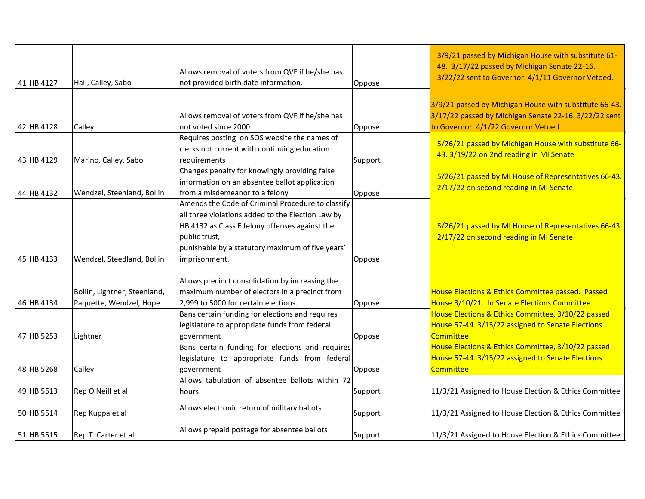|            |                              |                                                   |         | 3/9/21 passed by Michigan House with substitute 61-    |
|------------|------------------------------|---------------------------------------------------|---------|--------------------------------------------------------|
|            |                              | Allows removal of voters from QVF if he/she has   |         | 48. 3/17/22 passed by Michigan Senate 22-16.           |
| 41 HB 4127 | Hall, Calley, Sabo           | not provided birth date information.              | Oppose  | 3/22/22 sent to Governor. 4/1/11 Governor Vetoed.      |
|            |                              |                                                   |         |                                                        |
|            |                              |                                                   |         | 3/9/21 passed by Michigan House with substitute 66-43. |
|            |                              | Allows removal of voters from QVF if he/she has   |         | 3/17/22 passed by Michigan Senate 22-16. 3/22/22 sent  |
| 42 HB 4128 | Calley                       | not voted since 2000                              | Oppose  | to Governor. 4/1/22 Governor Vetoed                    |
|            |                              | Requires posting on SOS website the names of      |         |                                                        |
|            |                              | clerks not current with continuing education      |         | 5/26/21 passed by Michigan House with substitute 66-   |
| 43 HB 4129 | Marino, Calley, Sabo         | requirements                                      | Support | 43. 3/19/22 on 2nd reading in MI Senate                |
|            |                              | Changes penalty for knowingly providing false     |         |                                                        |
|            |                              | information on an absentee ballot application     |         | 5/26/21 passed by MI House of Representatives 66-43.   |
| 44 HB 4132 | Wendzel, Steenland, Bollin   | from a misdemeanor to a felony                    | Oppose  | 2/17/22 on second reading in MI Senate.                |
|            |                              | Amends the Code of Criminal Procedure to classify |         |                                                        |
|            |                              | all three violations added to the Election Law by |         |                                                        |
|            |                              | HB 4132 as Class E felony offenses against the    |         | 5/26/21 passed by MI House of Representatives 66-43.   |
|            |                              | public trust,                                     |         | 2/17/22 on second reading in MI Senate.                |
|            |                              | punishable by a statutory maximum of five years'  |         |                                                        |
| 45 HB 4133 | Wendzel, Steedland, Bollin   | imprisonment.                                     | Oppose  |                                                        |
|            |                              |                                                   |         |                                                        |
|            |                              | Allows precinct consolidation by increasing the   |         |                                                        |
|            | Bollin, Lightner, Steenland, | maximum number of electors in a precinct from     |         | House Elections & Ethics Committee passed. Passed      |
| 46 HB 4134 | Paquette, Wendzel, Hope      | 2,999 to 5000 for certain elections.              | Oppose  | House 3/10/21. In Senate Elections Committee           |
|            |                              | Bans certain funding for elections and requires   |         | House Elections & Ethics Committee, 3/10/22 passed     |
|            |                              | legislature to appropriate funds from federal     |         | House 57-44. 3/15/22 assigned to Senate Elections      |
| 47 HB 5253 | Lightner                     | government                                        | Oppose  | <b>Committee</b>                                       |
|            |                              | Bans certain funding for elections and requires   |         | House Elections & Ethics Committee, 3/10/22 passed     |
|            |                              | legislature to appropriate funds from federal     |         | House 57-44. 3/15/22 assigned to Senate Elections      |
| 48 HB 5268 | Calley                       | government                                        | Oppose  | Committee                                              |
|            |                              | Allows tabulation of absentee ballots within 72   |         |                                                        |
| 49 HB 5513 | Rep O'Neill et al            | hours                                             | Support | 11/3/21 Assigned to House Election & Ethics Committee  |
|            |                              | Allows electronic return of military ballots      |         |                                                        |
| 50 HB 5514 | Rep Kuppa et al              |                                                   | Support | 11/3/21 Assigned to House Election & Ethics Committee  |
|            |                              |                                                   |         |                                                        |
| 51 HB 5515 | Rep T. Carter et al          | Allows prepaid postage for absentee ballots       | Support | 11/3/21 Assigned to House Election & Ethics Committee  |